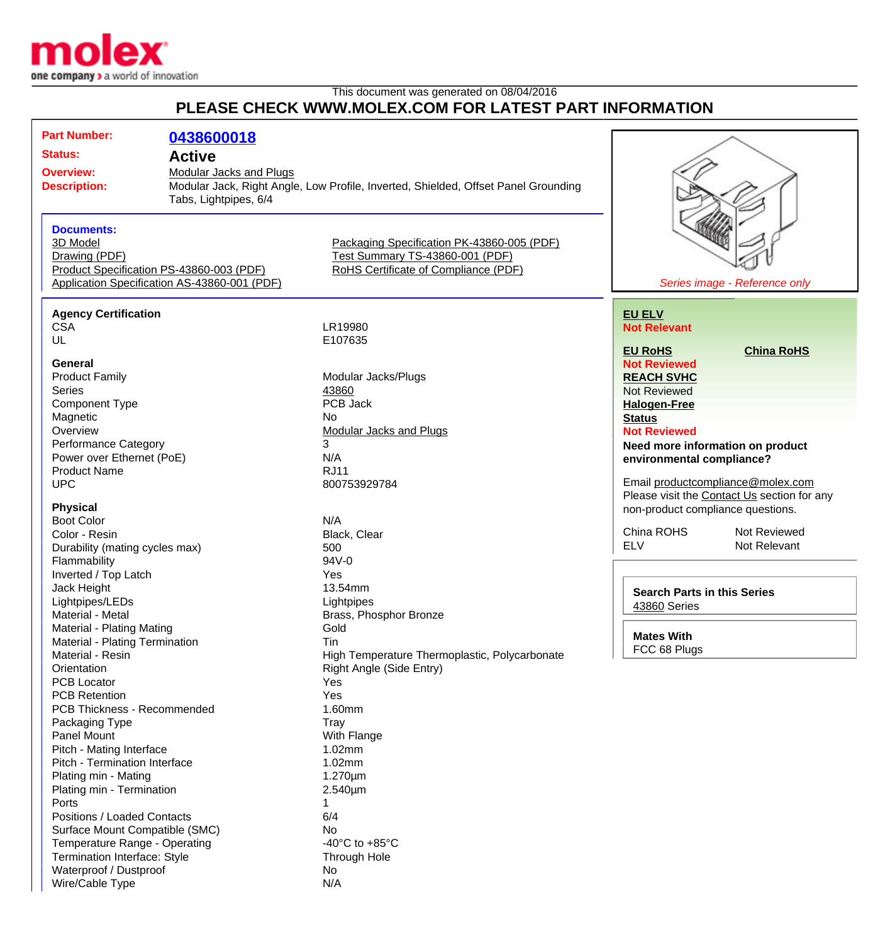

Wire/Cable Type N/A

## This document was generated on 08/04/2016 **PLEASE CHECK WWW.MOLEX.COM FOR LATEST PART INFORMATION**

| <b>Part Number:</b>                            | 0438600018                                                                               |                                                                                                                       |                                                                                  |
|------------------------------------------------|------------------------------------------------------------------------------------------|-----------------------------------------------------------------------------------------------------------------------|----------------------------------------------------------------------------------|
| <b>Status:</b>                                 | <b>Active</b>                                                                            |                                                                                                                       |                                                                                  |
| <b>Overview:</b><br><b>Description:</b>        | <b>Modular Jacks and Plugs</b><br>Tabs, Lightpipes, 6/4                                  | Modular Jack, Right Angle, Low Profile, Inverted, Shielded, Offset Panel Grounding                                    |                                                                                  |
| <b>Documents:</b><br>3D Model<br>Drawing (PDF) | Product Specification PS-43860-003 (PDF)<br>Application Specification AS-43860-001 (PDF) | Packaging Specification PK-43860-005 (PDF)<br>Test Summary TS-43860-001 (PDF)<br>RoHS Certificate of Compliance (PDF) | Series image - Reference only                                                    |
|                                                |                                                                                          |                                                                                                                       |                                                                                  |
| <b>Agency Certification</b><br><b>CSA</b>      |                                                                                          | LR19980                                                                                                               | <b>EU ELV</b><br><b>Not Relevant</b>                                             |
| UL                                             |                                                                                          | E107635                                                                                                               |                                                                                  |
|                                                |                                                                                          |                                                                                                                       | <b>EU RoHS</b><br><b>China RoHS</b>                                              |
| General                                        |                                                                                          |                                                                                                                       | <b>Not Reviewed</b>                                                              |
| <b>Product Family</b>                          |                                                                                          | Modular Jacks/Plugs                                                                                                   | <b>REACH SVHC</b>                                                                |
| <b>Series</b>                                  |                                                                                          | 43860                                                                                                                 | <b>Not Reviewed</b>                                                              |
| <b>Component Type</b>                          |                                                                                          | PCB Jack                                                                                                              | <b>Halogen-Free</b>                                                              |
| Magnetic                                       |                                                                                          | No.                                                                                                                   | <b>Status</b>                                                                    |
| Overview                                       |                                                                                          | <b>Modular Jacks and Plugs</b>                                                                                        | <b>Not Reviewed</b>                                                              |
| Performance Category                           |                                                                                          | 3                                                                                                                     | Need more information on product                                                 |
| Power over Ethernet (PoE)                      |                                                                                          | N/A                                                                                                                   | environmental compliance?                                                        |
| <b>Product Name</b>                            |                                                                                          | <b>RJ11</b>                                                                                                           |                                                                                  |
| <b>UPC</b>                                     |                                                                                          | 800753929784                                                                                                          | Email productcompliance@molex.com<br>Please visit the Contact Us section for any |
| <b>Physical</b>                                |                                                                                          |                                                                                                                       | non-product compliance questions.                                                |
| <b>Boot Color</b>                              |                                                                                          | N/A                                                                                                                   |                                                                                  |
| Color - Resin                                  |                                                                                          | Black, Clear                                                                                                          | China ROHS<br>Not Reviewed                                                       |
| Durability (mating cycles max)                 |                                                                                          | 500                                                                                                                   | <b>ELV</b><br>Not Relevant                                                       |
| Flammability                                   |                                                                                          | 94V-0                                                                                                                 |                                                                                  |
| Inverted / Top Latch                           |                                                                                          | Yes                                                                                                                   |                                                                                  |
| Jack Height                                    |                                                                                          | 13.54mm                                                                                                               | <b>Search Parts in this Series</b>                                               |
| Lightpipes/LEDs                                |                                                                                          | Lightpipes                                                                                                            | 43860 Series                                                                     |
| Material - Metal                               |                                                                                          | Brass, Phosphor Bronze                                                                                                |                                                                                  |
| Material - Plating Mating                      |                                                                                          | Gold                                                                                                                  |                                                                                  |
| Material - Plating Termination                 |                                                                                          | Tin                                                                                                                   | <b>Mates With</b>                                                                |
| Material - Resin                               |                                                                                          | High Temperature Thermoplastic, Polycarbonate                                                                         | FCC 68 Plugs                                                                     |
| Orientation                                    |                                                                                          | Right Angle (Side Entry)                                                                                              |                                                                                  |
| <b>PCB Locator</b>                             |                                                                                          | Yes                                                                                                                   |                                                                                  |
| <b>PCB Retention</b>                           |                                                                                          | Yes                                                                                                                   |                                                                                  |
| PCB Thickness - Recommended                    |                                                                                          | 1.60mm                                                                                                                |                                                                                  |
| Packaging Type                                 |                                                                                          | <b>Tray</b>                                                                                                           |                                                                                  |
| Panel Mount                                    |                                                                                          | With Flange                                                                                                           |                                                                                  |
| Pitch - Mating Interface                       |                                                                                          | 1.02mm                                                                                                                |                                                                                  |
| Pitch - Termination Interface                  |                                                                                          | 1.02mm                                                                                                                |                                                                                  |
| Plating min - Mating                           |                                                                                          | $1.270 \mu m$                                                                                                         |                                                                                  |
| Plating min - Termination                      |                                                                                          | 2.540µm                                                                                                               |                                                                                  |
| Ports                                          |                                                                                          |                                                                                                                       |                                                                                  |
| Positions / Loaded Contacts                    |                                                                                          | 6/4                                                                                                                   |                                                                                  |
| Surface Mount Compatible (SMC)                 |                                                                                          | No                                                                                                                    |                                                                                  |
| Temperature Range - Operating                  |                                                                                          | -40 $^{\circ}$ C to +85 $^{\circ}$ C                                                                                  |                                                                                  |
| Termination Interface: Style                   |                                                                                          | Through Hole                                                                                                          |                                                                                  |
| Waterproof / Dustproof                         |                                                                                          | No                                                                                                                    |                                                                                  |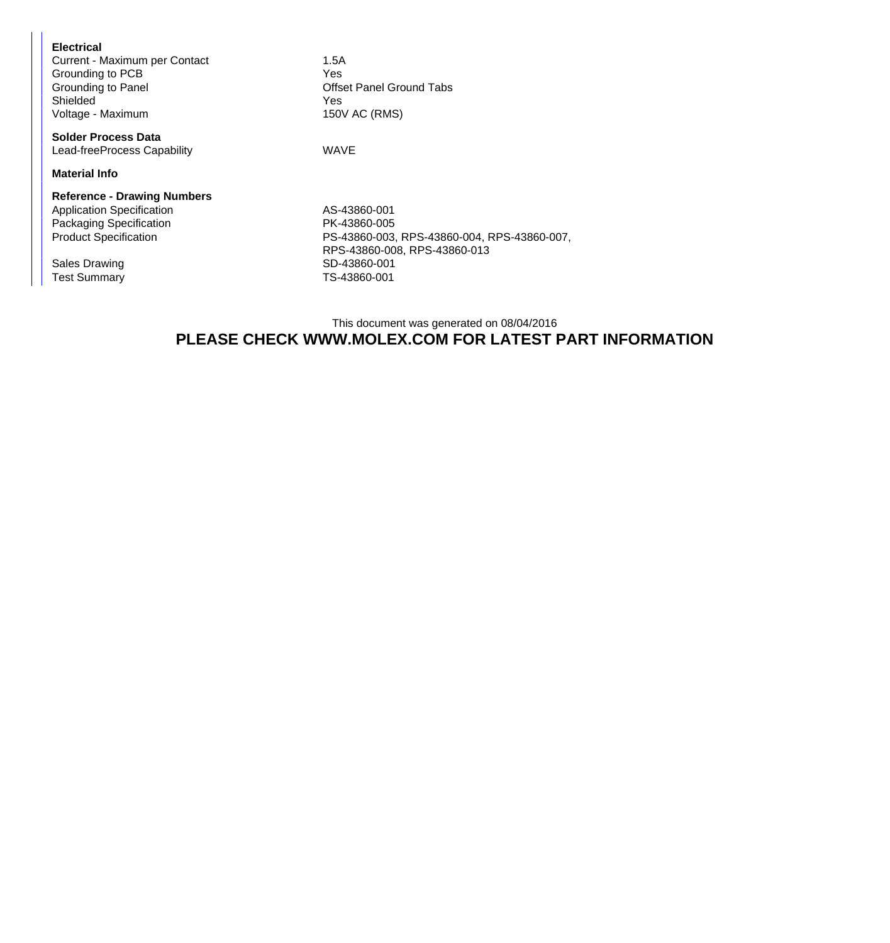| Electrical                    |                  |
|-------------------------------|------------------|
| Current - Maximum per Contact | 1.5A             |
| Grounding to PCB              | Yes:             |
| Grounding to Panel            | Off <sub>S</sub> |
| Shielded                      | Yes:             |
| Voltage - Maximum             | $150\%$          |

**Solder Process Data** Lead-freeProcess Capability **WAVE** 

**Material Info**

## **Reference - Drawing Numbers** Application Specification AS-43860-001 Packaging Specification **PK-43860-005**

Test Summary TS-43860-001

Offset Panel Ground Tabs 150V AC (RMS)

Product Specification PS-43860-003, RPS-43860-004, RPS-43860-007, RPS-43860-008, RPS-43860-013 Sales Drawing SD-43860-001

## This document was generated on 08/04/2016 **PLEASE CHECK WWW.MOLEX.COM FOR LATEST PART INFORMATION**